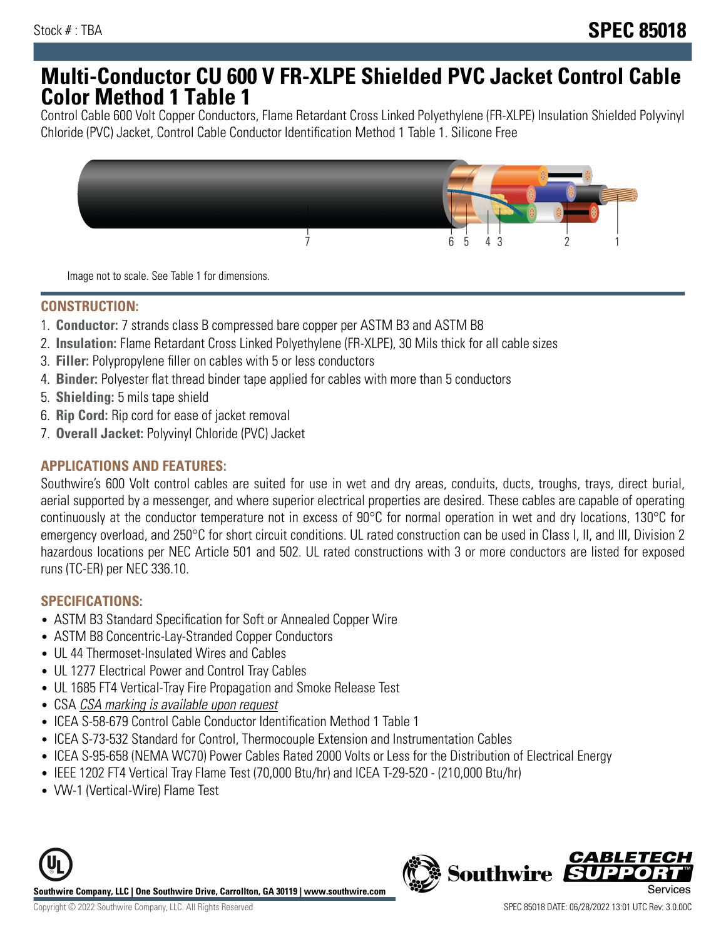# **Multi-Conductor CU 600 V FR-XLPE Shielded PVC Jacket Control Cable Color Method 1 Table 1**

Control Cable 600 Volt Copper Conductors, Flame Retardant Cross Linked Polyethylene (FR-XLPE) Insulation Shielded Polyvinyl Chloride (PVC) Jacket, Control Cable Conductor Identification Method 1 Table 1. Silicone Free



Image not to scale. See Table 1 for dimensions.

## **CONSTRUCTION:**

- 1. **Conductor:** 7 strands class B compressed bare copper per ASTM B3 and ASTM B8
- 2. **Insulation:** Flame Retardant Cross Linked Polyethylene (FR-XLPE), 30 Mils thick for all cable sizes
- 3. **Filler:** Polypropylene filler on cables with 5 or less conductors
- 4. **Binder:** Polyester flat thread binder tape applied for cables with more than 5 conductors
- 5. **Shielding:** 5 mils tape shield
- 6. **Rip Cord:** Rip cord for ease of jacket removal
- 7. **Overall Jacket:** Polyvinyl Chloride (PVC) Jacket

#### **APPLICATIONS AND FEATURES:**

Southwire's 600 Volt control cables are suited for use in wet and dry areas, conduits, ducts, troughs, trays, direct burial, aerial supported by a messenger, and where superior electrical properties are desired. These cables are capable of operating continuously at the conductor temperature not in excess of 90°C for normal operation in wet and dry locations, 130°C for emergency overload, and 250°C for short circuit conditions. UL rated construction can be used in Class I, II, and III, Division 2 hazardous locations per NEC Article 501 and 502. UL rated constructions with 3 or more conductors are listed for exposed runs (TC-ER) per NEC 336.10.

## **SPECIFICATIONS:**

- ASTM B3 Standard Specification for Soft or Annealed Copper Wire
- ASTM B8 Concentric-Lay-Stranded Copper Conductors
- UL 44 Thermoset-Insulated Wires and Cables
- UL 1277 Electrical Power and Control Tray Cables
- UL 1685 FT4 Vertical-Tray Fire Propagation and Smoke Release Test
- CSA CSA marking is available upon request
- ICEA S-58-679 Control Cable Conductor Identification Method 1 Table 1
- ICEA S-73-532 Standard for Control, Thermocouple Extension and Instrumentation Cables
- ICEA S-95-658 (NEMA WC70) Power Cables Rated 2000 Volts or Less for the Distribution of Electrical Energy
- IEEE 1202 FT4 Vertical Tray Flame Test (70,000 Btu/hr) and ICEA T-29-520 (210,000 Btu/hr)
- VW-1 (Vertical-Wire) Flame Test



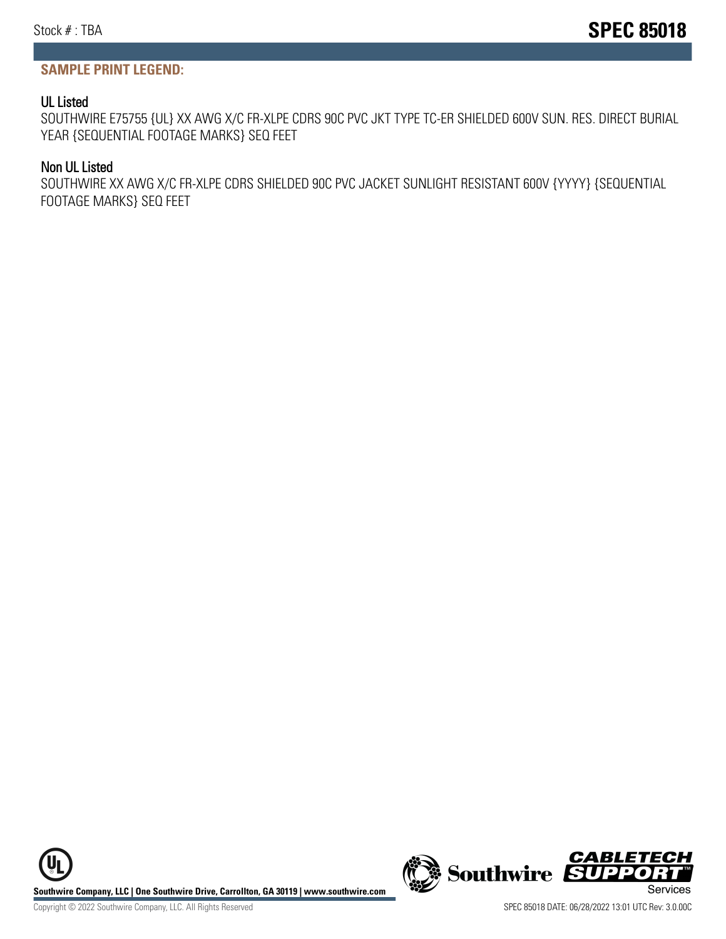## **SAMPLE PRINT LEGEND:**

#### UL Listed

SOUTHWIRE E75755 {UL} XX AWG X/C FR-XLPE CDRS 90C PVC JKT TYPE TC-ER SHIELDED 600V SUN. RES. DIRECT BURIAL YEAR {SEQUENTIAL FOOTAGE MARKS} SEQ FEET

#### Non UL Listed

SOUTHWIRE XX AWG X/C FR-XLPE CDRS SHIELDED 90C PVC JACKET SUNLIGHT RESISTANT 600V {YYYY} {SEQUENTIAL FOOTAGE MARKS} SEQ FEET